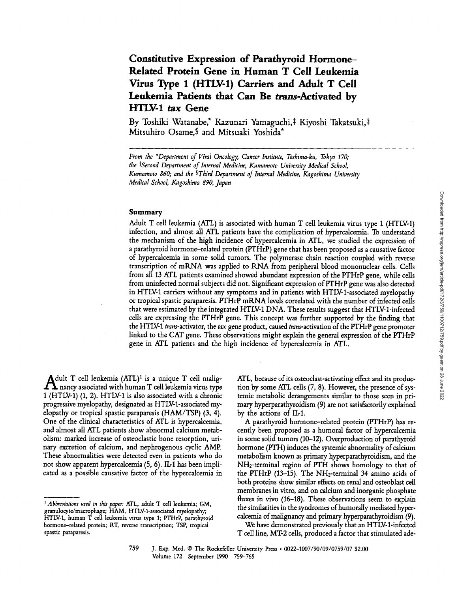# Constitutive Expression of Parathyroid Hormone-Related Protein Gene in Human T Cell Leukemia Virus Type <sup>1</sup> (HTLV1) Carriers and Adult T Cell Leukemia Patients that Can Be trans-Activated by HTLV-1 tax Gene

By Toshiki Watanabe,\* Kazunari Yamaguchi,‡ Kiyoshi Takatsuki,‡ Mitsuhiro Osame,§ and Mitsuaki Yoshida\*

From the "Department of Viral Oncology, Cancer Institute, Toshima-ku, Tokyo 170, the #Second Department of Internal Medicine, Kumamoto University Medical School, Kumamoto 860, and the SThird Department of Internal Medicine, Kagoshima University Medical School, Kagoshima 890, Japan

### Summary

Adult T cell leukemia (ATL) is associated with human T cell leukemia virus type <sup>1</sup> (HTLV--1) infection, and almost all ATL patients have the complication of hypercalcemia . To understand the mechanism of the high incidence of hypercalcemia in ATL, we studied the expression of a parathyroid hormone-related protein (PTHrP) gene that has been proposed as a causative factor of hypercalcemia in some solid tumors. The polymerase chain reaction coupled with reverse transcription of mRNA was applied to RNA from peripheral blood mononuclear cells . Cells from all <sup>13</sup> ATL patients examined showed abundant expression of the PTHrP gene, while cells from uninfected normal subjects did not . Significant expression of PTHrP gene was also detected in HTLV-1 carriers without any symptoms and in patients with HTLV-1-associated myelopathy or tropical spastic paraparesis. PTHrP mRNA levels correlated with the number of infected cells that were estimated by the integrated HTLV1 DNA. These results suggest that HTLV1-infected cells are expressing the PTHrP gene. This concept was further supported by the finding that the HTLV-1 trans-activator, the tax gene product, caused trans-activation of the PTHrP gene promoter linked to the CAT gene. These observations might explain the general expression of the PTHrP gene in ATL patients and the high incidence of hypercalcemia in ATL.

 $\mathbf{A}^d_{1(H)}$  $\Delta$ dult T cell leukemia  $(ATL)^{1}$  is a unique T cell malignancy associated with human T cell leukemia virus type 1 (HTLV-1) (1, 2). HTLV-1 is also associated with a chronic progressive myelopathy, designated as HTLV-1-associated myelopathy or tropical spastic paraparesis (HAM/TSP) (3, 4). One of the clinical characteristics of ATL is hypercalcemia, and almost all ATL patients show abnormal calcium metabolism: marked increase of osteoclastic bone resorption, urinary excretion of calcium, and nephrogenous cyclic AMP. These abnormalities were detected even in patients who do not show apparent hypercalcemia (5, 6). IL-1 has been implicated as a possible causative factor of the hypercalcemia in

ATL, because of its osteoclast-activating effect and its production by some ATL cells (7, 8) . However, the presence of systemic metabolic derangements similar to those seen in primary hyperparathyroidism (9) are not satisfactorily explained by the actions of  $IL1$ .

A parathyroid hormone-related protein (PTHrP) has recently been proposed as <sup>a</sup> humoral factor of hypercalcemia in some solid tumors (10–12). Overproduction of parathyroid hormone (PTH) induces the systemic abnormality of calcium metabolism known as primary hyperparathyroidism, and the NH2-terminal region of PTH shows homology to that of the PTHrP  $(13-15)$ . The NH<sub>2</sub>-terminal 34 amino acids of both proteins show similar effects on renal and osteoblast cell membranes in vitro, and on calcium and inorganic phosphate fluxes in vivo (16-18). These observations seem to explain the similarities in the syndromes of humorally mediated hypercalcemia of malignancy and primary hyperparathyroidism (9).

We have demonstrated previously that an HTLV-1-infected T cell line, MT-2 cells, produced <sup>a</sup> factor that stimulated ade-

 $1$  Abbreviations used in this paper: ATL, adult T cell leukemia; GM, granulocyte/macrophage; HAM, HTLV-1-associated myelopathy; HTLV-1, human T cell leukemia virus type 1; PTHrP, parathyroid hormone-related protein; RT, reverse transcription; TSP, tropical spastic paraparesis.

<sup>759</sup> J. Exp. Med. © The Rockefeller University Press • 0022-1007/90/09/0759/07 \$2.00 Volume 172 September 1990 759-765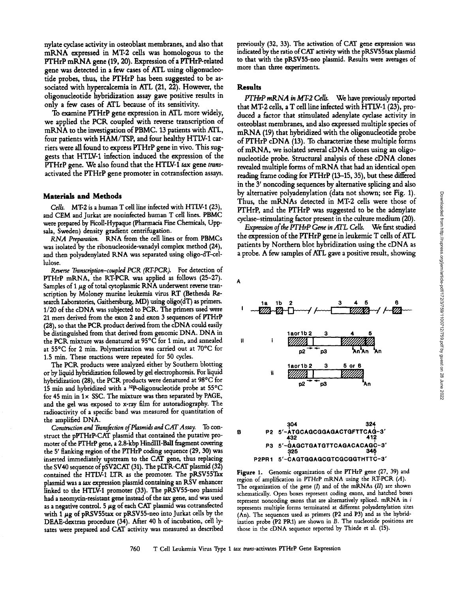nylate cyclase activity in osteoblast membranes, and also that mRNA expressed in MT-2 cells was homologous to the PTHrP mRNA gene (19, 20). Expression of a PTHrP-related gene was detected in <sup>a</sup> few cases of ATL using oligonucleotide probes, thus, the PTHrP has been suggested to be associated with hypercalcemia in ATL (21, 22). However, the oligonucleotide hybridization assay gave positive results in only <sup>a</sup> few cases of ATL because of its sensitivity.

To examine PTHrP gene expression in ATL more widely, we applied the PCR coupled with reverse transcription of mRNA to the investigation of PBMC. 13 patients with ATL, four patients with HAM/TSP, and four healthy HTLV-1 carriers were all found to express PTHrP gene in vivo. This suggests that HTLV1 infection induced the expression of the PTHrP gene. We also found that the HTLV-1 tax gene transactivated the PTHrP gene promoter in cotransfection assays .

## Materials and Methods

Cells. MT-2 is <sup>a</sup> human T cell line infected with HTLV-1(23), and CEM and Jurkat are noninfected human T cell lines. PBMC were prepared by Ficoll-Hypaque (Pharmacia Fine Chemicals, Uppsala, Sweden) density gradient centrifugation.

RNA Preparation. RNA from the cell lines or from PBMCs was isolated by the ribonucleoside-vanadyl complex method (24), and then polyadenylated RNA was separated using oligo-dT-cellulose .

Reverse Transcription-coupled PCR (RTPCR). For detection of PTHrP mRNA, the RTPCR was applied as follows (25-27). Samples of 1  $\mu$ g of total cytoplasmic RNA underwent reverse transcription by Moloney murine leukemia virus RT (Bethesda Research Laboratories, Gaithersburg, MD) using oligo(dT) as primers. 1/20 of the cDNA was subjected to PCR. The primers used were 21 mers derived from the exon 2 and exon 3 sequences of PTHrP (28), so that the PCR product derived from the cDNA could easily be distinguished from that derived from genomic DNA. DNA in the PCR mixture was denatured at 95°C for <sup>1</sup> min, and annealed at 55°C for 2 min. Polymerization was carried out at 70°C for 1.5 min. These reactions were repeated for 50 cycles.

The PCR. products were analyzed either by Southern blotting or by liquid hybridization followed by gel electrophoresis. For liquid hybridization (28), the PCR products were denatured at 98°C for 15 min and hybridized with a  $^{32}P$ -oligonucleotide probe at  $55^{\circ}C$ for 45 min in  $1 \times$  SSC. The mixture was then separated by PAGE, and the gel was exposed to x-ray film for autoradiography. The radioactivity of a specific band was measured for quantitation of the amplified DNA.

Construction and Transfection of Plasmids and CAT Assay. To construct the pPTHrP-CAT plasmid that contained the putative promoter of the PTHrP gene, a 2.8-kbp HindIII-BalI fragment covering the <sup>5</sup>' flanking region of the PTHrP coding sequence (29, 30) was inserted immediately upstream to the CAT gene, thus replacing the SV40 sequence of pSV2CAT (31). The pLTR-CAT plasmid (32) contained the HTLV-1 LTR as the promoter. The pRSV55Tax plasmid was <sup>a</sup> tax expression plasmid containing an RSV enhancer linked to the HTLV-1 promoter (33). The pRSV55-neo plasmid had a neomycin-resistant gene instead of the tax gene, and was used as a negative control.  $5 \mu g$  of each CAT plasmid was cotransfected with  $1 \mu$ g of pRSV55tax or pRSV55-neo into Jurkat cells by the DEAE-dextran procedure (34) . After 40 h of incubation, cell lysates were prepared and CAT activity was measured as described previously (32, 33) . The activation of CAT gene expression was indicated by the ratio ofCAT activity with the pRSV55tax plasmid to that with the pRSV55-neo plasmid. Results were averages of more than three experiments.

# Results

PTHrP mRNA in MT-2 Cells. We have previously reported that MT-2 cells, a T cell line infected with HTLV-1 (23), produced a factor that stimulated adenylate cyclase activity in osteoblast membranes, and also expressed multiple species of mRNA (19) that hybridized with the oligonucleotide probe of PTHrP cDNA (13) . To characterize these multiple forms of mRNA, we isolated several cDNA clones using an oligonucleotide probe. Structural analysis of these cDNA clones revealed multiple forms of mRNA that had an identical open reading frame coding for PTHrP (13-15, 35), but these differed in the <sup>3</sup>' noncoding sequences by alternative splicing and also by alternative polyadenylation (data not shown; see Fig. 1) . Thus, the mRNAs detected in MT-2 cells were those of PTHrP, and the PTHrP was suggested to be the adenylate cyclase-stimulating factor present in the culture medium (20) .

Expression of the PTHrP Gene in ATL Cells. We first studied the expression of the PTHrP gene in leukemic T cells of ATL patients by Northern blot hybridization using the cDNA as <sup>a</sup> probe. A few samples of ATL gave <sup>a</sup> positive result, showing

A



Figure 1. Genomic organization of the PTHrP gene (27, 39) and region of amplification in PTHrP mRNA using the RTPCR (A). The organization of the gene  $(I)$  and of the mRNAs  $(II)$  are shown schematically. Open boxes represent coding exons, and hatched boxes represent noncoding exons that are alternatively spliced. mRNA in  $i$ represents multiple forms terminated at different polyadenylation sites (An). The sequences used as primers (P2 and P3) and as the hybridization probe (P2 PR1) are shown in B. The nucleotide positions are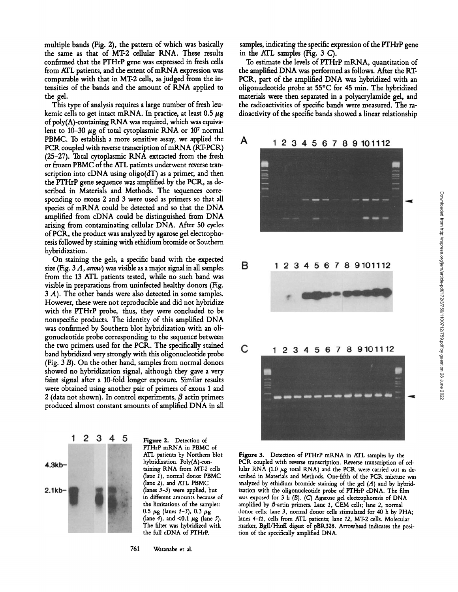multiple bands (Fig. 2), the pattern of which was basically the same as that of MT-2 cellular RNA. These results confirmed that the PTHrP gene was expressed in fresh cells from ATL patients, and the extent of mRNA expression was comparable with that in MT-2 cells, as judged from the intensities of the bands and the amount of RNA applied to the gel.

This type of analysis requires a large number of fresh leukemic cells to get intact mRNA. In practice, at least  $0.5 \mu$ g of  $poly(A)$ -containing RNA was required, which was equivalent to 10–30  $\mu$ g of total cytoplasmic RNA or 10<sup>7</sup> normal PBMC. To establish <sup>a</sup> more sensitive assay, we applied the PCR coupled with reverse transcription of mRNA (RT-PCR) (25-27). Total cytoplasmic RNA extracted from the fresh or frozen PBMC of the ATL patients underwent reverse transcription into cDNA using oligo(dT) as a primer, and then the PTHrP gene sequence was amplified by the PCR, as described in Materials and Methods. The sequences corresponding to exons 2 and 3 were used as primers so that all species of mRNA could be detected and so that the DNA amplified from cDNA could be distinguished from DNA arising from contaminating cellular DNA. After <sup>50</sup> cycles of PCR, the product was analyzed by agarose gel electrophoresis followed by staining with ethidium bromide or Southern hybridization.

On staining the gels, <sup>a</sup> specific band with the expected size (Fig.  $3 A$ , arrow) was visible as a major signal in all samples from the <sup>13</sup> ATL patients tested, while no such band was visible in preparations from uninfected healthy donors (Fig. 3 A). The other bands were also detected in some samples. However, these were not reproducible and did not hybridize with the PTHrP probe, thus, they were concluded to be nonspecific products. The identity of this amplified DNA was confirmed by Southern blot hybridization with an oligonucleotide probe corresponding to the sequence between the two primers used for the PCR. The specifically stained band hybridized very strongly with this oligonucleotide probe (Fig. <sup>3</sup> B). On the other hand, samples from normal donors showed no hybridization signal, although they gave a very faint signal after a 10-fold longer exposure. Similar results were obtained using another pair of primers of exons 1 and 2 (data not shown). In control experiments,  $\beta$  actin primers produced almost constant amounts of amplified DNA in all



Figure 2. Detection of PTHrP mRNA in PBMC of ATL patients by Northern blot hybridization. Poly(A)-containing RNA from MT-2 cells (lane 1), normal donor PBMC (lane 2), and ATL PBMC (lanes 3-5) were applied, but in different amounts because of the limitations of the samples: 0.5  $\mu$ g (lanes 1-3), 0.3  $\mu$ g (lane 4), and <0.1  $\mu$ g (lane 5). The filter was hybridized with the full cDNA of PTHrP.

761 Watanabe et al.

samples, indicating the specific expression of the PTHrP gene in the ATL samples (Fig. <sup>3</sup> C).

To estimate the levels of PTHrP mRNA, quantitation of the amplified DNA was performed as follows. After the RT PCR, part of the amplified DNA was hybridized with an oligonucleotide probe at 55°C for 45 min. The hybridized materials were then separated in a polyacrylamide gel, and the radioactivities of specific bands were measured. The radioactivity of the specific bands showed a linear relationship



Figure 3. Detection of PTHrP mRNA in ATL samples by the PCR coupled with reverse transcription. Reverse transcription of cellular RNA (1.0  $\mu$ g total RNA) and the PCR were carried out as described in Materials and Methods . One-fifth of the PCR mixture was analyzed by ethidium bromide staining of the gel  $(A)$  and by hybridization with the oligonucleotide probe of PTHrP cDNA. The film was exposed for 3 h (B). (C) Agarose gel electrophoresis of DNA amplified by  $\beta$ -actin primers. Lane 1, CEM cells; lane 2, normal donor cells; lane 3, normal donor cells stimulated for 40 h by PHA; lanes 4-11, cells from ATL patients; lane 12, MT-2 cells. Molecular marker, Bgll/Hinfl digest of pBR328. Arrowhead indicates the position of the specifically amplified DNA.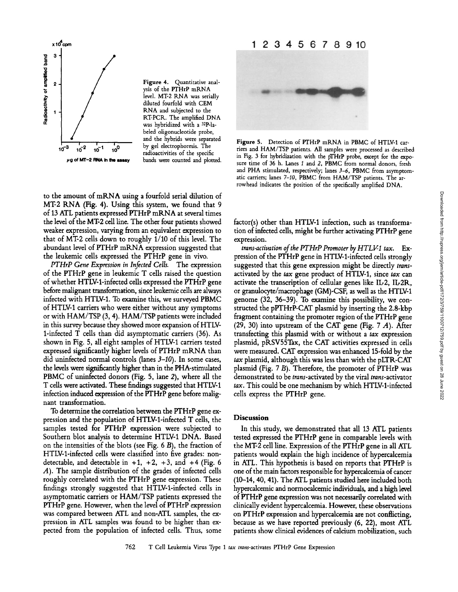

level. MT-2 RNA was serially diluted fourfold with CEM RNA and subjected to the RTPCR. The amplified DNA was hybridized with a 32P-labeled oligonucleotide probe, and the hybrids were separated<br>by gel electrophoresis. The jig of MT-2 RNA In the assay bands were counted and plotted.

to the amount of mRNA using a fourfold serial dilution of MT-2 RNA (Fig. 4). Using this system, we found that 9 of 13 ATL patients expressed pTHrP mRNA at several times the level of the MT-2 cell line. The other four patients showed weaker expression, varying from an equivalent expression to that of MT-2 cells down to roughly 1/10 of this level. The abundant level of pTHrP mRNA expression suggested that the leukemic cells expressed the pTHrP gene in vivo.

pTHrP Gene Expression in Infected Cells. The expression of the pTHrP gene in leukemic T cells raised the question of whether HTLV1-infected cells expressed the pTHrP gene before malignant transformation, since leukemic cells are always infected with HTLV-1. To examine this, we surveyed PBMC of HTLV1 carriers who were either without any symptoms or with HAM/TSP (3, 4) . HAM/TSP patients were included in this survey because they showed more expansion of HTLV-1-infected T cells than did asymptomatic carriers (36) . As shown in Fig. 5, all eight samples of HTLV-1 carriers tested expressed significantly higher levels of pTHrP mRNA than did uninfected normal controls (lanes 3-10). In some cases, the levels were significantly higher than in the PHA-stimulated PBMC of uninfected donors (Fig. 5, lane 2), where all the T cells were activated. These findings suggested that HTLV1 infection induced expression of the PTHrP gene before malignant transformation.

To determine the correlation between the pTHrP gene expression and the population of HTLV1-infected T cells, the samples tested for PTHrP expression were subjected to Southern blot analysis to determine HTLV1 DNA. Based on the intensities of the blots (see Fig. 6 B), the fraction of HTLV-1-infected cells were classified into five grades: nondetectable, and detectable in  $+1$ ,  $+2$ ,  $+3$ , and  $+4$  (Fig. 6) A). The sample distribution of the grades of infected cells roughly correlated with the PTHrP gene expression. These findings strongly suggested that HTLV-1-infected cells in asymptomatic carriers or HAM/TSP patients expressed the pTHrP gene. However, when the level of pTHrP expression was compared between ATL and non-ATL samples, the expression in ATL samples was found to be higher than expected from the population of infected cells. Thus, some



Figure 5. Detection of PTHrP mRNA in PBMC of HTLV-1 carriers and HAM/TSP patients. All samples were processed as described in Fig. 3 for hybridization with the pTHrP probe, except for the exposure time of 36 h. Lanes <sup>1</sup> and 2, PBMC from normal donors, fresh and PHA stimulated, respectively; lanes  $3-6$ , PBMC from asymptomatic carriers; lanes 7-10, PBMC from HAM/TSP patients. The arrowhead indicates the position of the specifically amplified DNA.

factor(s) other than HTLV-1 infection, such as transformation of infected cells, might be further activating pTHrP gene expression.

trans-activation of the PTHrP Promoter by  $HTLY1$  tax.  $Ex$ pression of the PTHrP gene in HTLV-1-infected cells strongly suggested that this gene expression might be directly transactivated by the tax gene product of HTLV-1, since tax can activate the transcription of cellular genes like IL-2, IL-2R, or granulocyte/macrophage (GM)-CSF, as well as the HTLV1 genome (32, 36-39). To examine this possibility, we constructed the pPTHrP-CAT plasmid by inserting the 2 .8-kbp fragment containing the promoter region of the PTHrP gene (29, 30) into upstream of the CAT gene (Fig.  $7 \nA$ ). After transfecting this plasmid with or without a tax expression plasmid, pRSV55Tax, the CAT activities expressed in cells were measured. CAT expression was enhanced 15-fold by the  $\textit{tax}$  plasmid, although this was less than with the pLTR-CAT plasmid (Fig. <sup>7</sup> B). Therefore, the promoter of pTHrP was demonstrated to be trans-activated by the viral trans-activator tax. This could be one mechanism by which HTLV-1-infected cells express the pTHrP gene.

# Discussion

In this study, we demonstrated that all <sup>13</sup> ATL patients tested expressed the pTHrP gene in comparable levels with the MT-2 cell line. Expression of the pTHrP gene in all ATL patients would explain the high incidence of hypercalcemia in ATL. This hypothesis is based on reports that PTHrP is one of the main factors responsible for hypercalcemia of cancer (10-14, 40, 41) . The ATL patients studied here included both hypercalcemic and normocalcemic individuals, and a high level of pTHrP gene expression was not necessarily correlated with clinically evident hypercalcemia. However, these observations on pTHrP expression and hypercalcemia are not conflicting, because as we have reported previously (6, 22), most ATL patients show clinical evidences of calcium mobilization, such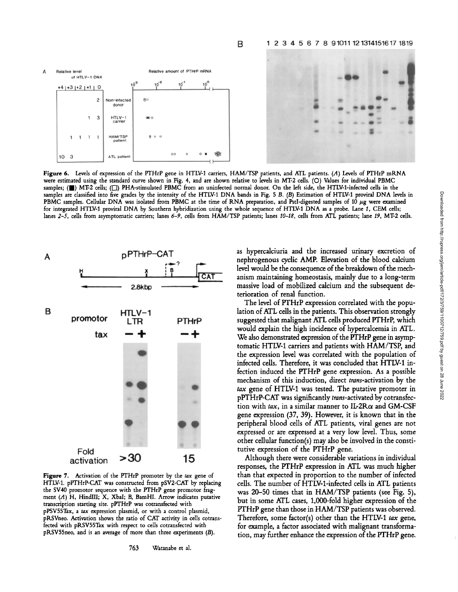#### 1 2 3 4 5 6 7 8 9 1011 12 1314151617 1819



B

Figure 6. Levels of expression of the PTHrP gene in HTLV1 carriers, HAM/TSP patients, and ATL patients. (A) Levels of PTHrP mRNA were estimated using the standard curve shown in Fig. 4, and are shown relative to levels in MT-2 cells. (O) Values for individual PBMC samples;  $(\blacksquare)$  MT-2 cells;  $(\square)$  PHA-stimulated PBMC from an uninfected normal donor. On the left side, the HTLV-1-infected cells in the samples are classified into five grades by the intensity of the HTLV-1 DNA bands in Fig. 5 B. (B) Estimation of HTLV-1 proviral DNA levels in PBMC samples. Cellular DNA was isolated from PBMC at the time of RNA preparation, and PstI-digested samples of 10 µg were examined for integrated HTLV-1 proviral DNA by Southern hybridization using the whole sequence of HTLV-1 DNA as a probe. Lane 1, CEM cells; lanes 2-5, cells from asymptomatic carriers; lanes 6-9, cells from HAM/TSP patients; lanes 10-18, cells from ATL patients; lane 19, MT-2 cells.



Figure 7. Activation of the PTHrP promoter by the tax gene of HTLV-1. pPTHrP-CAT was constructed from pSV2-CAT by replacing the SV40 promotor sequence with the PTHrP gene promotor fragment  $(A)$  H, HindIII; X, XbaI; B, BamHI. Arrow indicates putative transcription starting site. pPTHrP was cotransfected with pPSV55Tax, a tax expression plasmid, or with a control plasmid, pRSVneo . Activation shows the ratio of CAT activity in cells cotransfected with pRSV55Tax with respect to cells cotransfected with pRSV55neo, and is an average of more than three experiments (B) .

as hypercalciuria and the increased urinary excretion of nephrogenous cyclic AMP. Elevation of the blood calcium level would be the consequence of the breakdown of the mechanism maintaining homeostasis, mainly due to <sup>a</sup> long-term massive load of mobilized calcium and the subsequent deterioration of renal function .

The level of PTHrP expression correlated with the population of ATL cells in the patients. This observation strongly suggested that malignant ATL cells produced PTHrP, which would explain the high incidence of hypercalcemia in ATL. We also demonstrated expression of the PTHrP gene in asymptomatic HTLV-1 carriers and patients with HAM/TSP, and the expression level was correlated with the population of infected cells. Therefore, it was concluded that HTLV-1 infection induced the PTHrP gene expression. As a possible mechanism of this induction, direct trans-activation by the tax gene of HTLV-1 was tested. The putative promoter in pPTHrP-CAT was significantly trans-activated by cotransfection with tax, in a similar manner to  $IL2R\alpha$  and GM-CSF gene expression (37, 39) . However, it is known that in the peripheral blood cells of ATL patients, viral genes are not expressed or are expressed at a very low level. Thus, some other cellular function(s) may also be involved in the constitutive expression of the PTHrP gene.

Although there were considerable variations in individual responses, the PTHrP expression in ATL was much higher than that expected in proportion to the number of infected cells. The number of HTLV-1-infected cells in ATL patients was 20-50 times that in HAM/TSP patients (see Fig. 5), but in some ATL cases, 1,000-fold higher expression of the PTHrP gene than those in HAM/TSP patients was observed. Therefore, some factor(s) other than the HTLV-1 tax gene, for example, a factor associated with malignant transformation, may further enhance the expression of the PTHrP gene.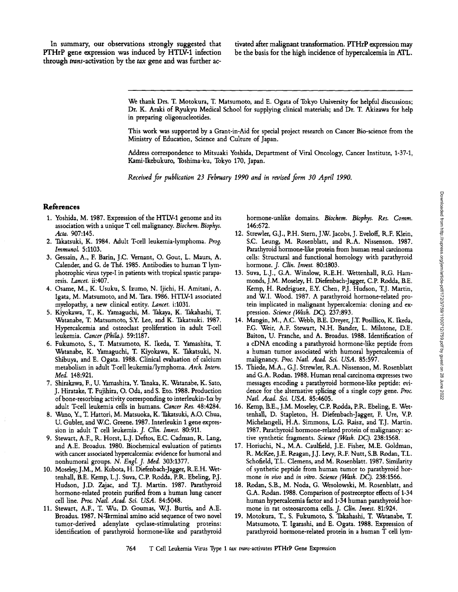In summary, our observations strongly suggested that PTHrP gene expression was induced by HTLV-1 infection through trans-activation by the tax gene and was further ac-

tivated after malignant transformation. PTHrP expression may be the basis for the high incidence of hypercalcemia in ATL.

We thank Drs. T. Motokura, T. Matsumoto, and E. Ogata of Tokyo University for helpful discussions; Dr. K. Araki of Ryukyu Medical School for supplying clinical materials; and Dr. T Akizawa for help in preparing oligonucleotides .

This work was supported by <sup>a</sup> Grant-in-Aid for special project research on Cancer Bio-science from the Ministry of Education, Science and Culture of Japan.

Address correspondence to Mitsuaki Yoshida, Department of Viral Oncology, Cancer Institute, 1-37-1, Kami-Ikebukuro, Toshima-ku, Tokyo 170, Japan.

Received for publication 23 February 1990 and in revised form 30 April 1990.

## References

- 1. Yoshida, M. 1987. Expression of the HTLV-1 genome and its hormone-unlike domains. Biochem. Biophys. Res. Comm.<br>association with a unique T cell malignancy. Biochem. Biophys. 146:672. association with a unique T cell malignancy. Biochem. Biophys.<br>Acta. 907:145.
- 
- 3. Gessain, A., F. Barin, J.C. Vernant, O. Gout, L. Maurs, A. cells: Structural and functional homology Calender, and G. de Thé. 1985. Antibodies to human T lym-hormone. J. Clin. Invest. 80:1803. Calender, and G. de Thé. 1985. Antibodies to human T lym-<br>photrophic virus type-I in patients with tropical spastic parapaphotrophic virus type-I in patients with tropical spastic parapa- 13. Suva, L.J., G.A. Winslow, R.E.H. Wettenhall, R.G. Ham-<br>monds, J.M. Moseley, H. Diefenbach-Jagger, C.P. Rodda, B.E.
- Igata, M. Matsumoto, and M. Tara. 1986. HTLV-1 associated myelopathy, a new clinical entity. Lancet. i:1031.
- 5. Kiyokawa, T., K. Yamaguchi, M. Takaya, K. Takahashi, T. Watanabe, T. Matsumoto, S.Y. Lee, and K. Takatsuki. 1987. Hypercalcemia and osteoclast proliferation in adult T-cell leukemia. Cancer (Phila.) 59:1187.
- Watanabe, K. Yamaguchi, T. Kiyokawa, K. Takatsuki, N. a human tumor associated with humoral hyper<br>Shibuya, and E. Ogata. 1988. Clinical evaluation of calcium analignancy. *Proc. Natl. Acad. Sci. USA*. 85:597. Shibuya, and E. Ogata. 1988. Clinical evaluation of calcium<br>metabolism in adult T-cell leukemia/lymphoma. Arch. Intern.
- J. Hiratake, T. Fujihira, O. Oda, and S. Eto. 1988. Production dence for the alternative splicin<br>of bone-resorbing activity corresponding to interleukin-1 $\alpha$  by Natl. Acad. Sci. USA. 85:4605. of bone-resorbing activity corresponding to interleukin-1 $\alpha$  by adult T-cell leukemia cells in humans. *Cancer Res.* 48:4284.
- 8. Wano, Y., T. Hattori, M. Matsuoka, K. Takatsuki, A.O. Chua, U. Gubler, and W.C. Greene. 1987. Interleukin 1 gene expres-
- 9. Stewart, A.F., R. Horst, L.J. Deftos, E.C. Cadman, R. Lang, and A.E. Broadus. 1980. Biochemical evaluation of patients.
- tenhall, B.E. Kemp, L.J. Suva, C.P. Rodda, P.R. Ebeling, P.J. . mone *in vivo* and *in vitro. Science (Wash. DC)*. 238:1566.<br>Hudson, J.D. Zajac, and T.J. Martin. 1987. Parathyroid 18. Rodan, S.B., M. Noda, G. Wesolowski, M Hudson, J.D. Zajac, and T.J. Martin. 1987. Parathyroid 18. Rodan, S.B., M. Noda, G. Wesolowski, M. Rosenblatt, and<br>hormone-related protein purified from a human lung cancer G.A. Rodan. 1988. Comparison of postreceptor effe hormone-related protein purified from a human lung cancer cell line. Proc. Natl. Acad. Sci. USA. 84:5048.
- 11. Stewart, A.F., T. Wu, D. Goumas, W.J. Burtis, and A.E. Broadus. 1987. N-Terminal amino acid sequence of two novel Broadus . <sup>1987</sup> . N-Terminal amino acid sequence of two novel 19. Motokura, T, S. Fukumoto, S. Takahashi, T Watanabe, T. identification of parathyroid hormone-like and parathyroid

- Acta. 907:145.<br>2. Takatsuki, K. 1984. Adult T-cell leukemia-lymphoma. Prog. S.C. Leung, M. Rosenblatt, and R.A. Nissenson. 1987. 2. Takatsuki, K. 1984. Adult Tcell leukemia-lymphoma . Prog. S.C . Leung, M. Rosenblatt, and R.A. Nissenson . 1987. Parathyroid hormone-like protein from human renal carcinoma<br>cells: Structural and functional homology with parathyroid
- monds, J.M. Moseley, H. Diefenbach-Jagger, C.P. Rodda, B.E.<br>Kemp, H. Rodriguez, E.Y. Chen, P.J. Hudson, T.J. Martin, 4. Osame, M., K. Usuku, S. Izumo, N. Ijichi, H. Amitani, A. Kemp, H. Rodriguez, E.Y. Chen, P.J. Hudson, T.J. Martin, Igata, M. Matsumoto, and M. Tara. 1986. HTLV-1 associated and W.I. Wood. 1987. A parathyroid hormone-rela tein implicated in malignant hypercalcemia: cloning and ex-<br>pression. Science (Wash. DC). 237:893.
- 14. Mangin, M., A.C. Webb, B.E. Dreyer, J.T. Posillico, K. Ikeda, F.G. Weir, A.F. Stewart, N.H. Bander, L. Milstone, D.E. Baiton, U. Franche, and A. Broadus. 1988. Identification of a cDNA encoding a parathyroid hormone-like peptide from 6. Fukumoto, S., T. Matsumoto, K. Ikeda, T. Yamashita, T. <sup>a</sup> cDNA encoding <sup>a</sup> parathyroid hormone-like peptide from
- metabolism in adult Tcell leukemia/lymphoma . Arch. Intern. 15. Thiede, M.A., G.J . Strewler, R.A. Nissenson, M. Rosenblatt and G.A. Rodan. 1988. Human renal carcinoma expresses two messages encoding a parathyroid hormone-like peptide: evi-7. Shirakawa, F., U. Yamashita, Y. Tanaka, K. Watanabe, K. Sato, messages encoding a parathyroid hormone-like peptide: evi-<br>J. Hiratake, T. Fujihira, O. Oda, and S. Eto. 1988. Production dence for the alternative splicing
	- 16. Kemp, B.E., J.M. Moseley, C.P. Rodda, P.R. Ebeling, E. Wet-<br>tenhall, D. Stapleton, H. Diefenbach-Jagger, F. Ure, V.P. U. Gubler, and W.C. Greene. 1987. Interleukin 1 gene expres- Michelangeli, H.A. Simmons, L.G. Raisz, and T.J. Martin.<br>1987. Parathyroid hormone-related protein of malignancy: ac- و 1987. Parathyroid hormone-related protein 1987. Parathyroid hormone-related protein of malignancy: active synthetic fragments. Science (Wash. DC). 238:1568.
- and A.E. Broadus. 1980. Biochemical evaluation of patients 17. Horiuchi, N., M.A. Caulfield, J.E. Fisher, M.E. Goldman, T.L. with cancer associated hypercalcemia: evidence for humoral and R. McKee, J.E. Reagan, J.J. Levy, with cancer associated hypercalcemia: evidence for humoral and R. McKee, J.E. Reagan, J.J. Levy, R.F. Nutt, S.B. Rodan, T.L.<br>nonhumoral groups. N. *Engl. J. Med.* 303:1377. Schofield, T.L. Clemens, and M. Rosenblatt. 1987. Schofield, T.L. Clemens, and M. Rosenblatt. 1987. Similarity<br>of synthetic peptide from human tumor to parathyroid hor-10. Moseley, J.M., M. Kubota, H. Diefenbach-Jagger, R.E.H. Wet- of synthetic peptide from human tumor to parathyroid horathyroid horathyroid horathyroid horathyroid horathyroid horathyroid horathyroid horathyroid horathyro
	- human hypercalcemia factor and 1-34 human parathyroid hor-<br>mone in rat osteosarcoma cells. J. Clin. Invest. 81:924.
	- Matsumoto, T. Igarashi, and E. Ogata. 1988. Expression of parathyroid hormone-related protein in a human T cell lym-